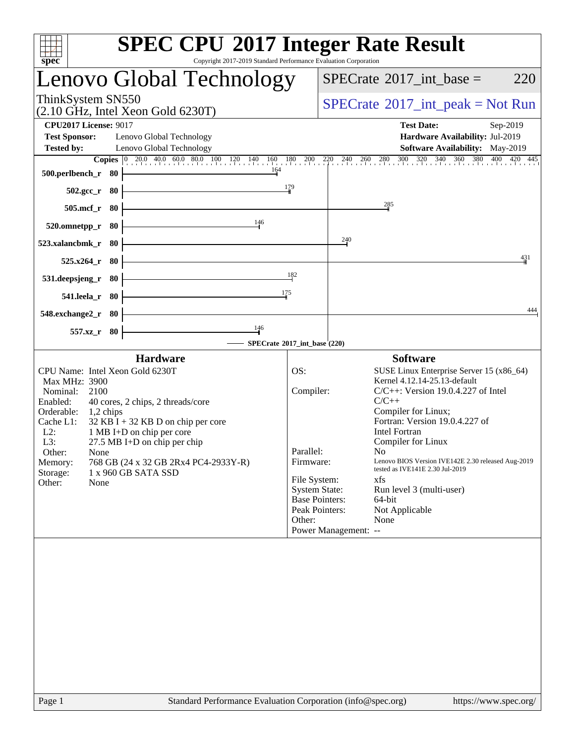| <b>SPEC CPU®2017 Integer Rate Result</b><br>$spec^*$<br>Copyright 2017-2019 Standard Performance Evaluation Corporation                                                                                                                                                                                                                                                                                              |                                                                                                                                         |                                                                                                                                                                                                                                                                                                                                                                                                                                   |
|----------------------------------------------------------------------------------------------------------------------------------------------------------------------------------------------------------------------------------------------------------------------------------------------------------------------------------------------------------------------------------------------------------------------|-----------------------------------------------------------------------------------------------------------------------------------------|-----------------------------------------------------------------------------------------------------------------------------------------------------------------------------------------------------------------------------------------------------------------------------------------------------------------------------------------------------------------------------------------------------------------------------------|
| Lenovo Global Technology                                                                                                                                                                                                                                                                                                                                                                                             |                                                                                                                                         | $SPECTate$ <sup>®</sup> 2017_int_base =<br>220                                                                                                                                                                                                                                                                                                                                                                                    |
| ThinkSystem SN550<br>$(2.10 \text{ GHz}, \text{Intel Xeon Gold } 6230 \text{T})$                                                                                                                                                                                                                                                                                                                                     |                                                                                                                                         | $SPECrate^{\circledast}2017\_int\_peak = Not Run$                                                                                                                                                                                                                                                                                                                                                                                 |
| <b>CPU2017 License: 9017</b>                                                                                                                                                                                                                                                                                                                                                                                         |                                                                                                                                         | <b>Test Date:</b><br>Sep-2019                                                                                                                                                                                                                                                                                                                                                                                                     |
| <b>Test Sponsor:</b><br>Lenovo Global Technology                                                                                                                                                                                                                                                                                                                                                                     |                                                                                                                                         | Hardware Availability: Jul-2019                                                                                                                                                                                                                                                                                                                                                                                                   |
| <b>Tested by:</b><br>Lenovo Global Technology                                                                                                                                                                                                                                                                                                                                                                        |                                                                                                                                         | Software Availability: May-2019<br><b>Copies</b> 0 200 400 600 800 100 120 140 160 180 200 220 240 260 280 300 320 340 360 380 400 420 445                                                                                                                                                                                                                                                                                        |
| 164<br>500.perlbench_r 80                                                                                                                                                                                                                                                                                                                                                                                            |                                                                                                                                         |                                                                                                                                                                                                                                                                                                                                                                                                                                   |
| $502.\text{gcc}_r$ 80                                                                                                                                                                                                                                                                                                                                                                                                | 179                                                                                                                                     |                                                                                                                                                                                                                                                                                                                                                                                                                                   |
| 505.mcf_r 80                                                                                                                                                                                                                                                                                                                                                                                                         |                                                                                                                                         | 285                                                                                                                                                                                                                                                                                                                                                                                                                               |
| 146<br>520.omnetpp_r 80                                                                                                                                                                                                                                                                                                                                                                                              |                                                                                                                                         |                                                                                                                                                                                                                                                                                                                                                                                                                                   |
| 523.xalancbmk_r<br>- 80                                                                                                                                                                                                                                                                                                                                                                                              |                                                                                                                                         | $\frac{240}{5}$                                                                                                                                                                                                                                                                                                                                                                                                                   |
| $525.x264$ _r<br>- 80                                                                                                                                                                                                                                                                                                                                                                                                |                                                                                                                                         | 431                                                                                                                                                                                                                                                                                                                                                                                                                               |
| 531.deepsjeng_r<br>- 80                                                                                                                                                                                                                                                                                                                                                                                              | 182                                                                                                                                     |                                                                                                                                                                                                                                                                                                                                                                                                                                   |
| 175<br>541.leela_r 80                                                                                                                                                                                                                                                                                                                                                                                                |                                                                                                                                         |                                                                                                                                                                                                                                                                                                                                                                                                                                   |
| 548.exchange2_r 80<br>146                                                                                                                                                                                                                                                                                                                                                                                            |                                                                                                                                         | 444                                                                                                                                                                                                                                                                                                                                                                                                                               |
| 557.xz_r 80<br>SPECrate®2017_int_base (220)                                                                                                                                                                                                                                                                                                                                                                          |                                                                                                                                         |                                                                                                                                                                                                                                                                                                                                                                                                                                   |
| <b>Hardware</b>                                                                                                                                                                                                                                                                                                                                                                                                      |                                                                                                                                         | <b>Software</b>                                                                                                                                                                                                                                                                                                                                                                                                                   |
| CPU Name: Intel Xeon Gold 6230T<br>Max MHz: 3900<br>Nominal:<br>2100<br>Enabled:<br>40 cores, 2 chips, 2 threads/core<br>Orderable:<br>$1,2$ chips<br>Cache L1:<br>$32$ KB I + 32 KB D on chip per core<br>$L2$ :<br>1 MB I+D on chip per core<br>$L3$ :<br>$27.5$ MB I+D on chip per chip<br>Other:<br>None<br>768 GB (24 x 32 GB 2Rx4 PC4-2933Y-R)<br>Memory:<br>Storage:<br>1 x 960 GB SATA SSD<br>Other:<br>None | OS:<br>Compiler:<br>Parallel:<br>Firmware:<br>File System:<br><b>System State:</b><br><b>Base Pointers:</b><br>Peak Pointers:<br>Other: | SUSE Linux Enterprise Server 15 (x86_64)<br>Kernel 4.12.14-25.13-default<br>$C/C++$ : Version 19.0.4.227 of Intel<br>$C/C++$<br>Compiler for Linux;<br>Fortran: Version 19.0.4.227 of<br><b>Intel Fortran</b><br>Compiler for Linux<br>No<br>Lenovo BIOS Version IVE142E 2.30 released Aug-2019<br>tested as IVE141E 2.30 Jul-2019<br>xfs<br>Run level 3 (multi-user)<br>64-bit<br>Not Applicable<br>None<br>Power Management: -- |
| Standard Performance Evaluation Corporation (info@spec.org)<br>Page 1                                                                                                                                                                                                                                                                                                                                                |                                                                                                                                         | https://www.spec.org/                                                                                                                                                                                                                                                                                                                                                                                                             |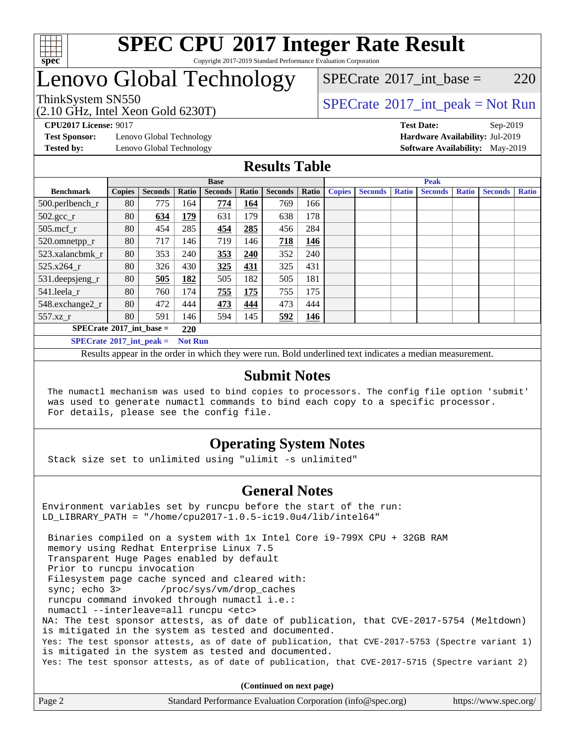

### **[SPEC CPU](http://www.spec.org/auto/cpu2017/Docs/result-fields.html#SPECCPU2017IntegerRateResult)[2017 Integer Rate Result](http://www.spec.org/auto/cpu2017/Docs/result-fields.html#SPECCPU2017IntegerRateResult)** Copyright 2017-2019 Standard Performance Evaluation Corporation

## Lenovo Global Technology

(2.10 GHz, Intel Xeon Gold 6230T)

ThinkSystem SN550<br>  $SPECTA = N \times 10^{14}$  [SPECrate](http://www.spec.org/auto/cpu2017/Docs/result-fields.html#SPECrate2017intpeak)®[2017\\_int\\_peak = N](http://www.spec.org/auto/cpu2017/Docs/result-fields.html#SPECrate2017intpeak)ot Run  $SPECTate@2017$  int base = 220

**[Test Sponsor:](http://www.spec.org/auto/cpu2017/Docs/result-fields.html#TestSponsor)** Lenovo Global Technology **[Hardware Availability:](http://www.spec.org/auto/cpu2017/Docs/result-fields.html#HardwareAvailability)** Jul-2019 **[Tested by:](http://www.spec.org/auto/cpu2017/Docs/result-fields.html#Testedby)** Lenovo Global Technology **[Software Availability:](http://www.spec.org/auto/cpu2017/Docs/result-fields.html#SoftwareAvailability)** May-2019

**[CPU2017 License:](http://www.spec.org/auto/cpu2017/Docs/result-fields.html#CPU2017License)** 9017 **[Test Date:](http://www.spec.org/auto/cpu2017/Docs/result-fields.html#TestDate)** Sep-2019

## **[Results Table](http://www.spec.org/auto/cpu2017/Docs/result-fields.html#ResultsTable)**

|                                   | <b>Base</b>   |                |                |                | <b>Peak</b>  |                |       |               |                |              |                |              |                |              |
|-----------------------------------|---------------|----------------|----------------|----------------|--------------|----------------|-------|---------------|----------------|--------------|----------------|--------------|----------------|--------------|
| <b>Benchmark</b>                  | <b>Copies</b> | <b>Seconds</b> | Ratio          | <b>Seconds</b> | <b>Ratio</b> | <b>Seconds</b> | Ratio | <b>Copies</b> | <b>Seconds</b> | <b>Ratio</b> | <b>Seconds</b> | <b>Ratio</b> | <b>Seconds</b> | <b>Ratio</b> |
| 500.perlbench_r                   | 80            | 775            | 164            | 774            | 164          | 769            | 166   |               |                |              |                |              |                |              |
| $502.\text{gcc}$ _r               | 80            | 634            | 179            | 631            | 179          | 638            | 178   |               |                |              |                |              |                |              |
| $505$ .mcf r                      | 80            | 454            | 285            | 454            | 285          | 456            | 284   |               |                |              |                |              |                |              |
| 520.omnetpp_r                     | 80            | 717            | 146            | 719            | 146          | 718            | 146   |               |                |              |                |              |                |              |
| 523.xalancbmk r                   | 80            | 353            | 240            | 353            | 240          | 352            | 240   |               |                |              |                |              |                |              |
| 525.x264 r                        | 80            | 326            | 430            | 325            | 431          | 325            | 431   |               |                |              |                |              |                |              |
| 531.deepsjeng_r                   | 80            | 505            | 182            | 505            | 182          | 505            | 181   |               |                |              |                |              |                |              |
| 541.leela r                       | 80            | 760            | 174            | 755            | 175          | 755            | 175   |               |                |              |                |              |                |              |
| 548.exchange2_r                   | 80            | 472            | 444            | 473            | 444          | 473            | 444   |               |                |              |                |              |                |              |
| 557.xz                            | 80            | 591            | 146.           | 594            | 145          | 592            | 146   |               |                |              |                |              |                |              |
| $SPECrate^{\circ}2017$ int base = |               |                | 220            |                |              |                |       |               |                |              |                |              |                |              |
| $SPECrate^{\circ}2017$ int peak = |               |                | <b>Not Run</b> |                |              |                |       |               |                |              |                |              |                |              |

Results appear in the [order in which they were run](http://www.spec.org/auto/cpu2017/Docs/result-fields.html#RunOrder). Bold underlined text [indicates a median measurement](http://www.spec.org/auto/cpu2017/Docs/result-fields.html#Median).

### **[Submit Notes](http://www.spec.org/auto/cpu2017/Docs/result-fields.html#SubmitNotes)**

 The numactl mechanism was used to bind copies to processors. The config file option 'submit' was used to generate numactl commands to bind each copy to a specific processor. For details, please see the config file.

## **[Operating System Notes](http://www.spec.org/auto/cpu2017/Docs/result-fields.html#OperatingSystemNotes)**

Stack size set to unlimited using "ulimit -s unlimited"

### **[General Notes](http://www.spec.org/auto/cpu2017/Docs/result-fields.html#GeneralNotes)**

Environment variables set by runcpu before the start of the run: LD\_LIBRARY\_PATH = "/home/cpu2017-1.0.5-ic19.0u4/lib/intel64"

 Binaries compiled on a system with 1x Intel Core i9-799X CPU + 32GB RAM memory using Redhat Enterprise Linux 7.5 Transparent Huge Pages enabled by default Prior to runcpu invocation Filesystem page cache synced and cleared with: sync; echo 3> /proc/sys/vm/drop\_caches runcpu command invoked through numactl i.e.: numactl --interleave=all runcpu <etc> NA: The test sponsor attests, as of date of publication, that CVE-2017-5754 (Meltdown) is mitigated in the system as tested and documented. Yes: The test sponsor attests, as of date of publication, that CVE-2017-5753 (Spectre variant 1) is mitigated in the system as tested and documented. Yes: The test sponsor attests, as of date of publication, that CVE-2017-5715 (Spectre variant 2)

**(Continued on next page)**

| Page 2 | Standard Performance Evaluation Corporation (info@spec.org) | https://www.spec.org/ |
|--------|-------------------------------------------------------------|-----------------------|
|        |                                                             |                       |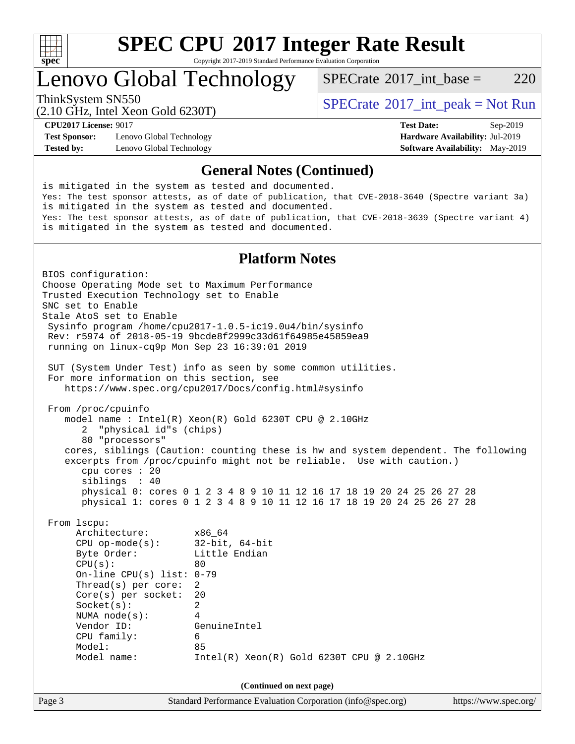

# **[SPEC CPU](http://www.spec.org/auto/cpu2017/Docs/result-fields.html#SPECCPU2017IntegerRateResult)[2017 Integer Rate Result](http://www.spec.org/auto/cpu2017/Docs/result-fields.html#SPECCPU2017IntegerRateResult)**

Copyright 2017-2019 Standard Performance Evaluation Corporation

## Lenovo Global Technology

[SPECrate](http://www.spec.org/auto/cpu2017/Docs/result-fields.html#SPECrate2017intbase)®2017 int\_base =  $220$ 

(2.10 GHz, Intel Xeon Gold 6230T)

ThinkSystem SN550<br>  $SPECTA = N \times 10^{11}$  [SPECrate](http://www.spec.org/auto/cpu2017/Docs/result-fields.html#SPECrate2017intpeak)®[2017\\_int\\_peak = N](http://www.spec.org/auto/cpu2017/Docs/result-fields.html#SPECrate2017intpeak)ot Run

**[Test Sponsor:](http://www.spec.org/auto/cpu2017/Docs/result-fields.html#TestSponsor)** Lenovo Global Technology **[Hardware Availability:](http://www.spec.org/auto/cpu2017/Docs/result-fields.html#HardwareAvailability)** Jul-2019 **[Tested by:](http://www.spec.org/auto/cpu2017/Docs/result-fields.html#Testedby)** Lenovo Global Technology **[Software Availability:](http://www.spec.org/auto/cpu2017/Docs/result-fields.html#SoftwareAvailability)** May-2019

**[CPU2017 License:](http://www.spec.org/auto/cpu2017/Docs/result-fields.html#CPU2017License)** 9017 **[Test Date:](http://www.spec.org/auto/cpu2017/Docs/result-fields.html#TestDate)** Sep-2019

### **[General Notes \(Continued\)](http://www.spec.org/auto/cpu2017/Docs/result-fields.html#GeneralNotes)**

is mitigated in the system as tested and documented. Yes: The test sponsor attests, as of date of publication, that CVE-2018-3640 (Spectre variant 3a) is mitigated in the system as tested and documented. Yes: The test sponsor attests, as of date of publication, that CVE-2018-3639 (Spectre variant 4) is mitigated in the system as tested and documented.

### **[Platform Notes](http://www.spec.org/auto/cpu2017/Docs/result-fields.html#PlatformNotes)**

Page 3 Standard Performance Evaluation Corporation [\(info@spec.org\)](mailto:info@spec.org) <https://www.spec.org/> BIOS configuration: Choose Operating Mode set to Maximum Performance Trusted Execution Technology set to Enable SNC set to Enable Stale AtoS set to Enable Sysinfo program /home/cpu2017-1.0.5-ic19.0u4/bin/sysinfo Rev: r5974 of 2018-05-19 9bcde8f2999c33d61f64985e45859ea9 running on linux-cq9p Mon Sep 23 16:39:01 2019 SUT (System Under Test) info as seen by some common utilities. For more information on this section, see <https://www.spec.org/cpu2017/Docs/config.html#sysinfo> From /proc/cpuinfo model name : Intel(R) Xeon(R) Gold 6230T CPU @ 2.10GHz 2 "physical id"s (chips) 80 "processors" cores, siblings (Caution: counting these is hw and system dependent. The following excerpts from /proc/cpuinfo might not be reliable. Use with caution.) cpu cores : 20 siblings : 40 physical 0: cores 0 1 2 3 4 8 9 10 11 12 16 17 18 19 20 24 25 26 27 28 physical 1: cores 0 1 2 3 4 8 9 10 11 12 16 17 18 19 20 24 25 26 27 28 From lscpu: Architecture: x86\_64 CPU op-mode(s): 32-bit, 64-bit Byte Order: Little Endian  $CPU(s):$  80 On-line CPU(s) list: 0-79 Thread(s) per core: 2 Core(s) per socket: 20 Socket(s): 2 NUMA node(s): 4 Vendor ID: GenuineIntel CPU family: 6 Model: 85 Model name: Intel(R) Xeon(R) Gold 6230T CPU @ 2.10GHz **(Continued on next page)**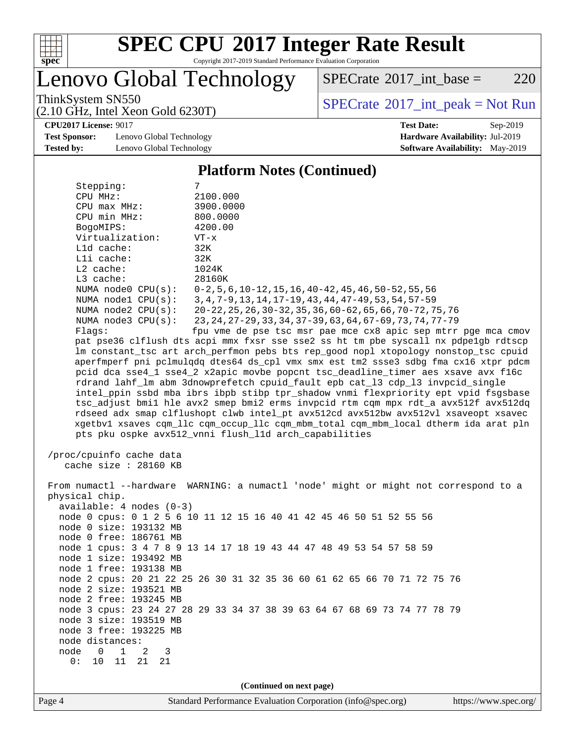

# **[SPEC CPU](http://www.spec.org/auto/cpu2017/Docs/result-fields.html#SPECCPU2017IntegerRateResult)[2017 Integer Rate Result](http://www.spec.org/auto/cpu2017/Docs/result-fields.html#SPECCPU2017IntegerRateResult)**

Copyright 2017-2019 Standard Performance Evaluation Corporation

Lenovo Global Technology

 $SPECTate@2017_int\_base = 220$ 

(2.10 GHz, Intel Xeon Gold 6230T)

ThinkSystem SN550<br>  $(2.10 \text{ GHz. Intel Yoon Gold } 6230 \text{T})$  [SPECrate](http://www.spec.org/auto/cpu2017/Docs/result-fields.html#SPECrate2017intpeak)®[2017\\_int\\_peak = N](http://www.spec.org/auto/cpu2017/Docs/result-fields.html#SPECrate2017intpeak)ot Run

### **[CPU2017 License:](http://www.spec.org/auto/cpu2017/Docs/result-fields.html#CPU2017License)** 9017 **[Test Date:](http://www.spec.org/auto/cpu2017/Docs/result-fields.html#TestDate)** Sep-2019

**[Test Sponsor:](http://www.spec.org/auto/cpu2017/Docs/result-fields.html#TestSponsor)** Lenovo Global Technology **[Hardware Availability:](http://www.spec.org/auto/cpu2017/Docs/result-fields.html#HardwareAvailability)** Jul-2019 **[Tested by:](http://www.spec.org/auto/cpu2017/Docs/result-fields.html#Testedby)** Lenovo Global Technology **[Software Availability:](http://www.spec.org/auto/cpu2017/Docs/result-fields.html#SoftwareAvailability)** May-2019

### **[Platform Notes \(Continued\)](http://www.spec.org/auto/cpu2017/Docs/result-fields.html#PlatformNotes)**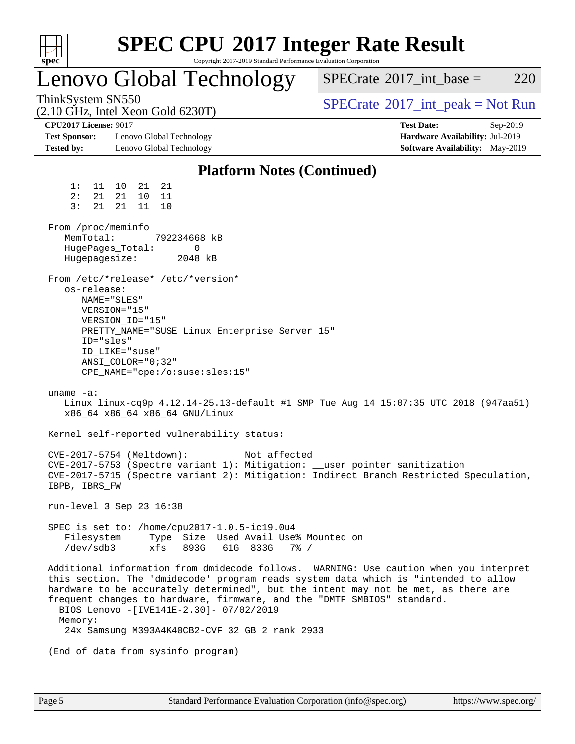| spec <sup>®</sup>                                                                |                                                                                                                                  | Copyright 2017-2019 Standard Performance Evaluation Corporation                                                                                                      | <b>SPEC CPU®2017 Integer Rate Result</b>                                                                                                                                                                                                                            |
|----------------------------------------------------------------------------------|----------------------------------------------------------------------------------------------------------------------------------|----------------------------------------------------------------------------------------------------------------------------------------------------------------------|---------------------------------------------------------------------------------------------------------------------------------------------------------------------------------------------------------------------------------------------------------------------|
|                                                                                  |                                                                                                                                  | Lenovo Global Technology                                                                                                                                             | 220<br>$SPECrate^{\circledast}2017\_int\_base =$                                                                                                                                                                                                                    |
| ThinkSystem SN550<br>$(2.10 \text{ GHz}, \text{Intel Xeon Gold } 6230 \text{T})$ |                                                                                                                                  |                                                                                                                                                                      | $SPECTate@2017_int\_peak = Not Run$                                                                                                                                                                                                                                 |
| <b>CPU2017 License: 9017</b><br><b>Test Sponsor:</b><br><b>Tested by:</b>        | Lenovo Global Technology<br>Lenovo Global Technology                                                                             |                                                                                                                                                                      | <b>Test Date:</b><br>Sep-2019<br>Hardware Availability: Jul-2019<br>Software Availability: May-2019                                                                                                                                                                 |
|                                                                                  |                                                                                                                                  | <b>Platform Notes (Continued)</b>                                                                                                                                    |                                                                                                                                                                                                                                                                     |
| 1:<br>11<br>2:<br>21<br>3:<br>21<br>From /proc/meminfo                           | 10<br>21<br>-21<br>21<br>10<br>11<br>21<br>11<br>10                                                                              |                                                                                                                                                                      |                                                                                                                                                                                                                                                                     |
| MemTotal:<br>Hugepagesize:                                                       | HugePages_Total:                                                                                                                 | 792234668 kB<br>0<br>2048 kB                                                                                                                                         |                                                                                                                                                                                                                                                                     |
| os-release:<br>ID="sles"                                                         | From /etc/*release* /etc/*version*<br>NAME="SLES"<br>VERSION="15"<br>VERSION_ID="15"<br>ID LIKE="suse"<br>$ANSI\_COLOR = "0:32"$ | PRETTY_NAME="SUSE Linux Enterprise Server 15"<br>CPE_NAME="cpe:/o:suse:sles:15"                                                                                      |                                                                                                                                                                                                                                                                     |
| uname $-a$ :                                                                     | x86_64 x86_64 x86_64 GNU/Linux                                                                                                   |                                                                                                                                                                      | Linux linux-cq9p 4.12.14-25.13-default #1 SMP Tue Aug 14 15:07:35 UTC 2018 (947aa51)                                                                                                                                                                                |
|                                                                                  |                                                                                                                                  | Kernel self-reported vulnerability status:                                                                                                                           |                                                                                                                                                                                                                                                                     |
| IBPB, IBRS FW                                                                    | CVE-2017-5754 (Meltdown):                                                                                                        | Not affected                                                                                                                                                         | CVE-2017-5753 (Spectre variant 1): Mitigation: __user pointer sanitization<br>CVE-2017-5715 (Spectre variant 2): Mitigation: Indirect Branch Restricted Speculation,                                                                                                |
|                                                                                  | run-level 3 Sep 23 16:38                                                                                                         |                                                                                                                                                                      |                                                                                                                                                                                                                                                                     |
| Filesystem<br>/dev/sdb3                                                          | xfs                                                                                                                              | SPEC is set to: /home/cpu2017-1.0.5-ic19.0u4<br>Type Size Used Avail Use% Mounted on<br>893G<br>61G 833G<br>7% /                                                     |                                                                                                                                                                                                                                                                     |
| Memory:                                                                          |                                                                                                                                  | frequent changes to hardware, firmware, and the "DMTF SMBIOS" standard.<br>BIOS Lenovo -[IVE141E-2.30]- 07/02/2019<br>24x Samsung M393A4K40CB2-CVF 32 GB 2 rank 2933 | Additional information from dmidecode follows. WARNING: Use caution when you interpret<br>this section. The 'dmidecode' program reads system data which is "intended to allow<br>hardware to be accurately determined", but the intent may not be met, as there are |
|                                                                                  | (End of data from sysinfo program)                                                                                               |                                                                                                                                                                      |                                                                                                                                                                                                                                                                     |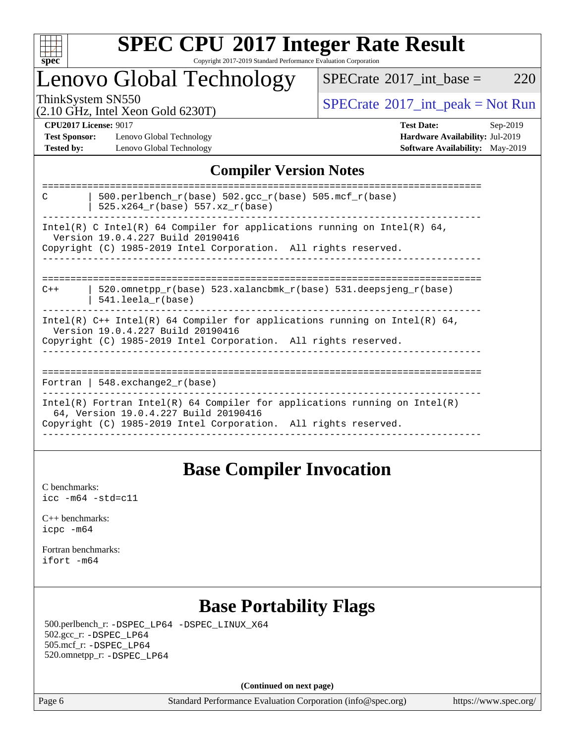

### **[SPEC CPU](http://www.spec.org/auto/cpu2017/Docs/result-fields.html#SPECCPU2017IntegerRateResult)[2017 Integer Rate Result](http://www.spec.org/auto/cpu2017/Docs/result-fields.html#SPECCPU2017IntegerRateResult)** Copyright 2017-2019 Standard Performance Evaluation Corporation

## Lenovo Global Technology

 $SPECTate$ <sup>®</sup>[2017\\_int\\_base =](http://www.spec.org/auto/cpu2017/Docs/result-fields.html#SPECrate2017intbase) 220

(2.10 GHz, Intel Xeon Gold 6230T)

ThinkSystem SN550<br>  $(2.10 \text{ GHz. Intel Yoon Gold } 6230 \text{T})$   $SPECTate$ <sup>®</sup>[2017\\_int\\_peak = N](http://www.spec.org/auto/cpu2017/Docs/result-fields.html#SPECrate2017intpeak)ot Run

**[Test Sponsor:](http://www.spec.org/auto/cpu2017/Docs/result-fields.html#TestSponsor)** Lenovo Global Technology **[Hardware Availability:](http://www.spec.org/auto/cpu2017/Docs/result-fields.html#HardwareAvailability)** Jul-2019 **[Tested by:](http://www.spec.org/auto/cpu2017/Docs/result-fields.html#Testedby)** Lenovo Global Technology **[Software Availability:](http://www.spec.org/auto/cpu2017/Docs/result-fields.html#SoftwareAvailability)** May-2019

**[CPU2017 License:](http://www.spec.org/auto/cpu2017/Docs/result-fields.html#CPU2017License)** 9017 **[Test Date:](http://www.spec.org/auto/cpu2017/Docs/result-fields.html#TestDate)** Sep-2019

## **[Compiler Version Notes](http://www.spec.org/auto/cpu2017/Docs/result-fields.html#CompilerVersionNotes)**

| 500.perlbench $r(base)$ 502.qcc $r(base)$ 505.mcf $r(base)$<br>C<br>525.x264 r(base) 557.xz r(base)                                                                                    |
|----------------------------------------------------------------------------------------------------------------------------------------------------------------------------------------|
| Intel(R) C Intel(R) 64 Compiler for applications running on Intel(R) 64,<br>Version 19.0.4.227 Build 20190416<br>Copyright (C) 1985-2019 Intel Corporation. All rights reserved.       |
|                                                                                                                                                                                        |
| 520.omnetpp $r(base)$ 523.xalancbmk $r(base)$ 531.deepsjeng $r(base)$<br>$C++$<br>$541.$ leela r(base)                                                                                 |
| Intel(R) $C++$ Intel(R) 64 Compiler for applications running on Intel(R) 64,<br>Version 19.0.4.227 Build 20190416<br>Copyright (C) 1985-2019 Intel Corporation. All rights reserved.   |
| Fortran   $548$ . exchange $2r$ (base)                                                                                                                                                 |
| Intel(R) Fortran Intel(R) 64 Compiler for applications running on Intel(R)<br>64, Version 19.0.4.227 Build 20190416<br>Copyright (C) 1985-2019 Intel Corporation. All rights reserved. |
|                                                                                                                                                                                        |

## **[Base Compiler Invocation](http://www.spec.org/auto/cpu2017/Docs/result-fields.html#BaseCompilerInvocation)**

[C benchmarks](http://www.spec.org/auto/cpu2017/Docs/result-fields.html#Cbenchmarks): [icc -m64 -std=c11](http://www.spec.org/cpu2017/results/res2019q4/cpu2017-20191014-19169.flags.html#user_CCbase_intel_icc_64bit_c11_33ee0cdaae7deeeab2a9725423ba97205ce30f63b9926c2519791662299b76a0318f32ddfffdc46587804de3178b4f9328c46fa7c2b0cd779d7a61945c91cd35)

[C++ benchmarks:](http://www.spec.org/auto/cpu2017/Docs/result-fields.html#CXXbenchmarks) [icpc -m64](http://www.spec.org/cpu2017/results/res2019q4/cpu2017-20191014-19169.flags.html#user_CXXbase_intel_icpc_64bit_4ecb2543ae3f1412ef961e0650ca070fec7b7afdcd6ed48761b84423119d1bf6bdf5cad15b44d48e7256388bc77273b966e5eb805aefd121eb22e9299b2ec9d9)

[Fortran benchmarks](http://www.spec.org/auto/cpu2017/Docs/result-fields.html#Fortranbenchmarks): [ifort -m64](http://www.spec.org/cpu2017/results/res2019q4/cpu2017-20191014-19169.flags.html#user_FCbase_intel_ifort_64bit_24f2bb282fbaeffd6157abe4f878425411749daecae9a33200eee2bee2fe76f3b89351d69a8130dd5949958ce389cf37ff59a95e7a40d588e8d3a57e0c3fd751)

## **[Base Portability Flags](http://www.spec.org/auto/cpu2017/Docs/result-fields.html#BasePortabilityFlags)**

 500.perlbench\_r: [-DSPEC\\_LP64](http://www.spec.org/cpu2017/results/res2019q4/cpu2017-20191014-19169.flags.html#b500.perlbench_r_basePORTABILITY_DSPEC_LP64) [-DSPEC\\_LINUX\\_X64](http://www.spec.org/cpu2017/results/res2019q4/cpu2017-20191014-19169.flags.html#b500.perlbench_r_baseCPORTABILITY_DSPEC_LINUX_X64) 502.gcc\_r: [-DSPEC\\_LP64](http://www.spec.org/cpu2017/results/res2019q4/cpu2017-20191014-19169.flags.html#suite_basePORTABILITY502_gcc_r_DSPEC_LP64) 505.mcf\_r: [-DSPEC\\_LP64](http://www.spec.org/cpu2017/results/res2019q4/cpu2017-20191014-19169.flags.html#suite_basePORTABILITY505_mcf_r_DSPEC_LP64) 520.omnetpp\_r: [-DSPEC\\_LP64](http://www.spec.org/cpu2017/results/res2019q4/cpu2017-20191014-19169.flags.html#suite_basePORTABILITY520_omnetpp_r_DSPEC_LP64)

**(Continued on next page)**

Page 6 Standard Performance Evaluation Corporation [\(info@spec.org\)](mailto:info@spec.org) <https://www.spec.org/>